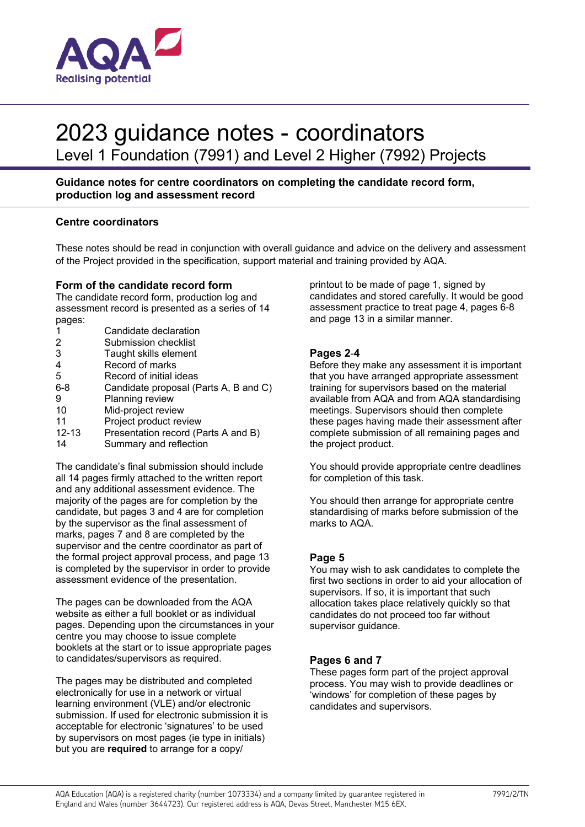

## 2023 guidance notes - coordinators

Level 1 Foundation (7991) and Level 2 Higher (7992) Projects

## **Guidance notes for centre coordinators on completing the candidate record form, production log and assessment record**

## **Centre coordinators**

These notes should be read in conjunction with overall guidance and advice on the delivery and assessment of the Project provided in the specification, support material and training provided by AQA.

#### **Form of the candidate record form**

The candidate record form, production log and assessment record is presented as a series of 14 pages:

|           | Candidate declaration                 |
|-----------|---------------------------------------|
| 2         | Submission checklist                  |
| 3         | Taught skills element                 |
| 4         | Record of marks                       |
| 5         | Record of initial ideas               |
| $6 - 8$   | Candidate proposal (Parts A, B and C) |
| 9         | Planning review                       |
| 10        | Mid-project review                    |
| 11        | Project product review                |
| $12 - 13$ | Presentation record (Parts A and B)   |
| 14        | Summary and reflection                |
|           |                                       |

The candidate's final submission should include all 14 pages firmly attached to the written report and any additional assessment evidence. The majority of the pages are for completion by the candidate, but pages 3 and 4 are for completion by the supervisor as the final assessment of marks, pages 7 and 8 are completed by the supervisor and the centre coordinator as part of the formal project approval process, and page 13 is completed by the supervisor in order to provide assessment evidence of the presentation.

The pages can be downloaded from the AQA website as either a full booklet or as individual pages. Depending upon the circumstances in your centre you may choose to issue complete booklets at the start or to issue appropriate pages to candidates/supervisors as required.

The pages may be distributed and completed electronically for use in a network or virtual learning environment (VLE) and/or electronic submission. If used for electronic submission it is acceptable for electronic 'signatures' to be used by supervisors on most pages (ie type in initials) but you are **required** to arrange for a copy/

printout to be made of page 1, signed by candidates and stored carefully. It would be good assessment practice to treat page 4, pages 6-8 and page 13 in a similar manner.

#### **Pages 2**-**4**

Before they make any assessment it is important that you have arranged appropriate assessment training for supervisors based on the material available from AQA and from AQA standardising meetings. Supervisors should then complete these pages having made their assessment after complete submission of all remaining pages and the project product.

You should provide appropriate centre deadlines for completion of this task.

You should then arrange for appropriate centre standardising of marks before submission of the marks to AQA.

#### **Page 5**

You may wish to ask candidates to complete the first two sections in order to aid your allocation of supervisors. If so, it is important that such allocation takes place relatively quickly so that candidates do not proceed too far without supervisor guidance.

#### **Pages 6 and 7**

These pages form part of the project approval process. You may wish to provide deadlines or 'windows' for completion of these pages by candidates and supervisors.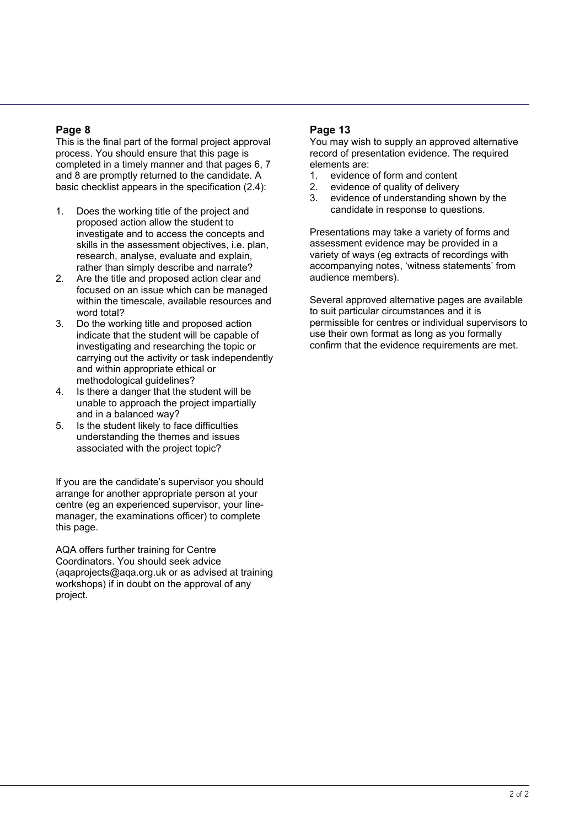## **Page 8**

This is the final part of the formal project approval process. You should ensure that this page is completed in a timely manner and that pages 6, 7 and 8 are promptly returned to the candidate. A basic checklist appears in the specification (2.4):

- 1. Does the working title of the project and proposed action allow the student to investigate and to access the concepts and skills in the assessment objectives, i.e. plan, research, analyse, evaluate and explain, rather than simply describe and narrate?
- 2. Are the title and proposed action clear and focused on an issue which can be managed within the timescale, available resources and word total?
- 3. Do the working title and proposed action indicate that the student will be capable of investigating and researching the topic or carrying out the activity or task independently and within appropriate ethical or methodological guidelines?
- 4. Is there a danger that the student will be unable to approach the project impartially and in a balanced way?
- 5. Is the student likely to face difficulties understanding the themes and issues associated with the project topic?

If you are the candidate's supervisor you should arrange for another appropriate person at your centre (eg an experienced supervisor, your linemanager, the examinations officer) to complete this page.

AQA offers further training for Centre Coordinators. You should seek advice (aqaprojects@aqa.org.uk or as advised at training workshops) if in doubt on the approval of any project.

## **Page 13**

You may wish to supply an approved alternative record of presentation evidence. The required elements are:

- 1. evidence of form and content
- 2. evidence of quality of delivery
- 3. evidence of understanding shown by the candidate in response to questions.

Presentations may take a variety of forms and assessment evidence may be provided in a variety of ways (eg extracts of recordings with accompanying notes, 'witness statements' from audience members).

Several approved alternative pages are available to suit particular circumstances and it is permissible for centres or individual supervisors to use their own format as long as you formally confirm that the evidence requirements are met.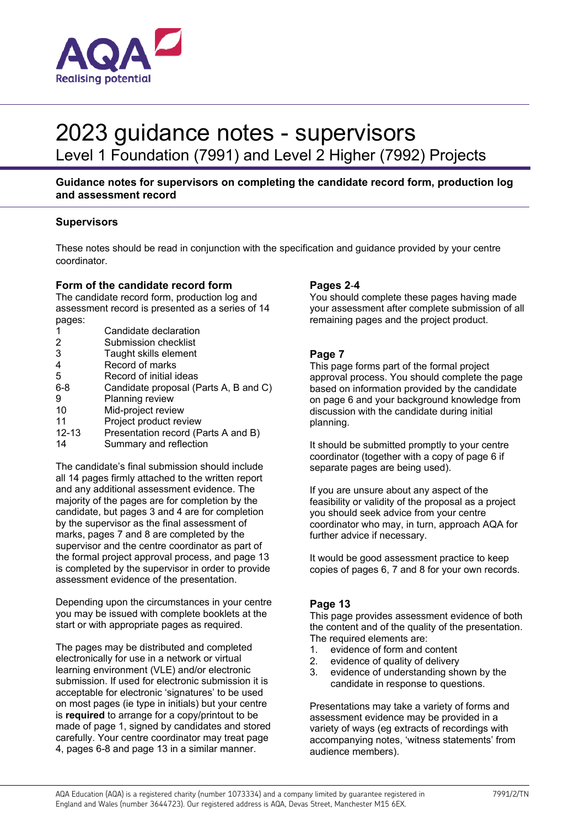

## 2023 guidance notes - supervisors

Level 1 Foundation (7991) and Level 2 Higher (7992) Projects

#### **Guidance notes for supervisors on completing the candidate record form, production log and assessment record**

#### **Supervisors**

These notes should be read in conjunction with the specification and guidance provided by your centre coordinator.

#### **Form of the candidate record form**

The candidate record form, production log and assessment record is presented as a series of 14 pages:

| 1         | Candidate declaration                 |
|-----------|---------------------------------------|
| 2         | Submission checklist                  |
| 3         | Taught skills element                 |
| 4         | Record of marks                       |
| 5         | Record of initial ideas               |
| $6 - 8$   | Candidate proposal (Parts A, B and C) |
| 9         | Planning review                       |
| 10        | Mid-project review                    |
| 11        | Project product review                |
| $12 - 13$ | Presentation record (Parts A and B)   |
| 14        | Summary and reflection                |
|           |                                       |

The candidate's final submission should include all 14 pages firmly attached to the written report and any additional assessment evidence. The majority of the pages are for completion by the candidate, but pages 3 and 4 are for completion by the supervisor as the final assessment of marks, pages 7 and 8 are completed by the supervisor and the centre coordinator as part of the formal project approval process, and page 13 is completed by the supervisor in order to provide assessment evidence of the presentation.

Depending upon the circumstances in your centre you may be issued with complete booklets at the start or with appropriate pages as required.

The pages may be distributed and completed electronically for use in a network or virtual learning environment (VLE) and/or electronic submission. If used for electronic submission it is acceptable for electronic 'signatures' to be used on most pages (ie type in initials) but your centre is **required** to arrange for a copy/printout to be made of page 1, signed by candidates and stored carefully. Your centre coordinator may treat page 4, pages 6-8 and page 13 in a similar manner.

#### **Pages 2**-**4**

You should complete these pages having made your assessment after complete submission of all remaining pages and the project product.

#### **Page 7**

This page forms part of the formal project approval process. You should complete the page based on information provided by the candidate on page 6 and your background knowledge from discussion with the candidate during initial planning.

It should be submitted promptly to your centre coordinator (together with a copy of page 6 if separate pages are being used).

If you are unsure about any aspect of the feasibility or validity of the proposal as a project you should seek advice from your centre coordinator who may, in turn, approach AQA for further advice if necessary.

It would be good assessment practice to keep copies of pages 6, 7 and 8 for your own records.

#### **Page 13**

This page provides assessment evidence of both the content and of the quality of the presentation. The required elements are:

- 1. evidence of form and content
- 2. evidence of quality of delivery
- 3. evidence of understanding shown by the candidate in response to questions.

Presentations may take a variety of forms and assessment evidence may be provided in a variety of ways (eg extracts of recordings with accompanying notes, 'witness statements' from audience members).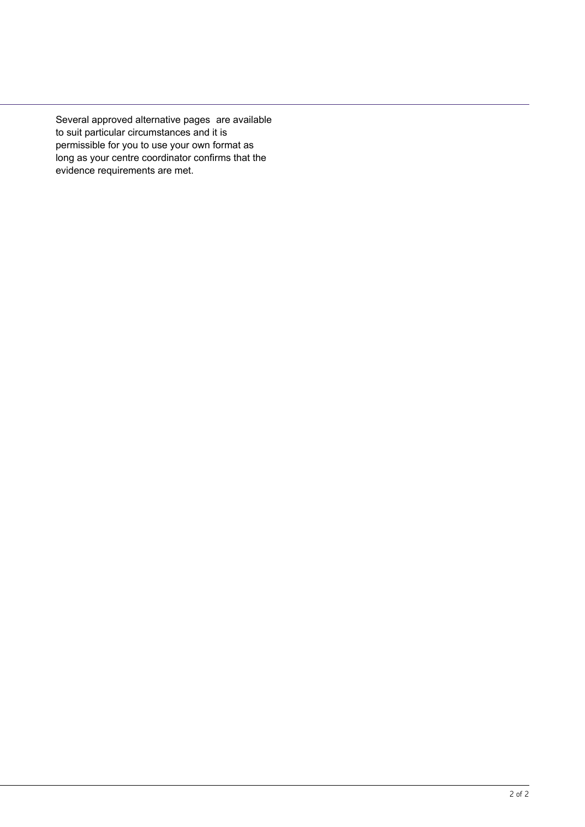Several approved alternative pages are available to suit particular circumstances and it is permissible for you to use your own format as long as your centre coordinator confirms that the evidence requirements are met.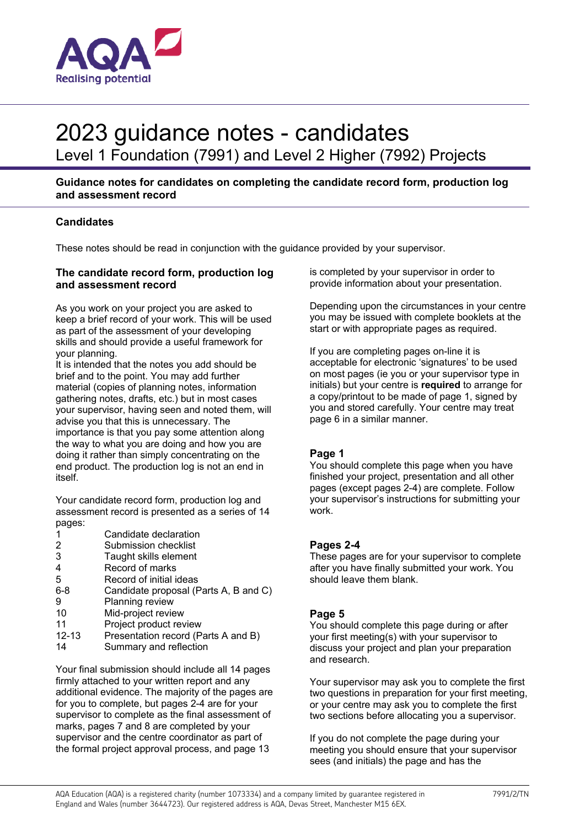

# 2023 guidance notes - candidates

Level 1 Foundation (7991) and Level 2 Higher (7992) Projects

### **Guidance notes for candidates on completing the candidate record form, production log and assessment record**

## **Candidates**

These notes should be read in conjunction with the guidance provided by your supervisor.

#### **The candidate record form, production log and assessment record**

As you work on your project you are asked to keep a brief record of your work. This will be used as part of the assessment of your developing skills and should provide a useful framework for your planning.

It is intended that the notes you add should be brief and to the point. You may add further material (copies of planning notes, information gathering notes, drafts, etc.) but in most cases your supervisor, having seen and noted them, will advise you that this is unnecessary. The importance is that you pay some attention along the way to what you are doing and how you are doing it rather than simply concentrating on the end product. The production log is not an end in itself.

Your candidate record form, production log and assessment record is presented as a series of 14 pages:

- 1 Candidate declaration<br>2 Submission checklist
- Submission checklist
- 3 Taught skills element
- 4 Record of marks
- 5 Record of initial ideas
- 6-8 Candidate proposal (Parts A, B and C)
- 9 Planning review
- 10 Mid-project review
- 11 Project product review<br>12-13 Presentation record (P
- Presentation record (Parts A and B)
- 14 Summary and reflection

Your final submission should include all 14 pages firmly attached to your written report and any additional evidence. The majority of the pages are for you to complete, but pages 2-4 are for your supervisor to complete as the final assessment of marks, pages 7 and 8 are completed by your supervisor and the centre coordinator as part of the formal project approval process, and page 13

is completed by your supervisor in order to provide information about your presentation.

Depending upon the circumstances in your centre you may be issued with complete booklets at the start or with appropriate pages as required.

If you are completing pages on-line it is acceptable for electronic 'signatures' to be used on most pages (ie you or your supervisor type in initials) but your centre is **required** to arrange for a copy/printout to be made of page 1, signed by you and stored carefully. Your centre may treat page 6 in a similar manner.

#### **Page 1**

You should complete this page when you have finished your project, presentation and all other pages (except pages 2-4) are complete. Follow your supervisor's instructions for submitting your work.

#### **Pages 2-4**

These pages are for your supervisor to complete after you have finally submitted your work. You should leave them blank.

#### **Page 5**

You should complete this page during or after your first meeting(s) with your supervisor to discuss your project and plan your preparation and research.

Your supervisor may ask you to complete the first two questions in preparation for your first meeting, or your centre may ask you to complete the first two sections before allocating you a supervisor.

If you do not complete the page during your meeting you should ensure that your supervisor sees (and initials) the page and has the